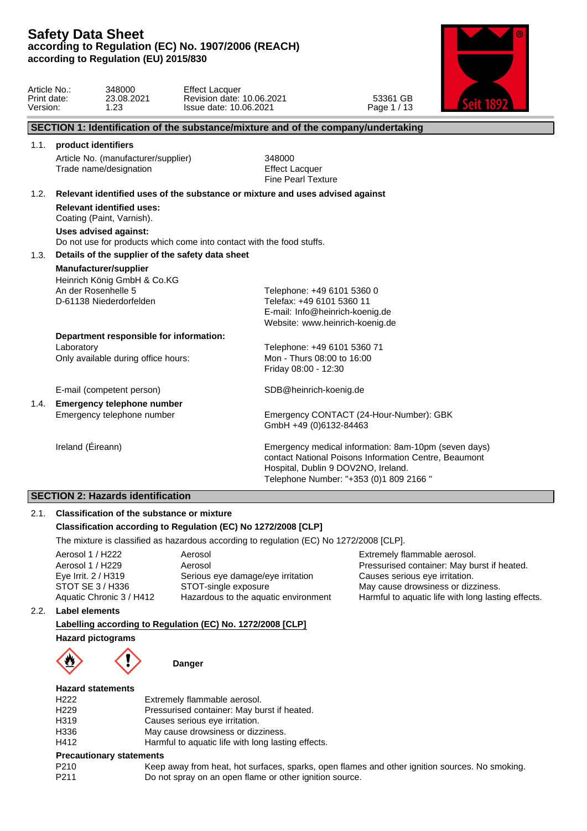# **SECTION 2: Hazards identification**

# 2.1. **Classification of the substance or mixture Classification according to Regulation (EC) No 1272/2008 [CLP]**

The mixture is classified as hazardous according to regulation (EC) No 1272/2008 [CLP].

| Aerosol                              |
|--------------------------------------|
| Aerosol                              |
| Serious eye damage/eye irritation    |
| STOT-single exposure                 |
| Hazardous to the aquatic environment |
|                                      |

Extremely flammable aerosol. Pressurised container: May burst if heated. Causes serious eye irritation. May cause drowsiness or dizziness. Harmful to aquatic life with long lasting effects.

### 2.2. **Label elements**

# **Labelling according to Regulation (EC) No. 1272/2008 [CLP]**

**Hazard pictograms**



### **Danger**

### **Hazard statements**

| H222             | Extremely flammable aerosol.                       |  |
|------------------|----------------------------------------------------|--|
| H <sub>229</sub> | Pressurised container: May burst if heated.        |  |
| H319             | Causes serious eye irritation.                     |  |
| H336             | May cause drowsiness or dizziness.                 |  |
| H412             | Harmful to aquatic life with long lasting effects. |  |
|                  |                                                    |  |

#### **Precautionary statements**

| P <sub>210</sub> | Keep away from heat, hot surfaces, sparks, open flames and other ignition sources. No smoking. |
|------------------|------------------------------------------------------------------------------------------------|
| P <sub>211</sub> | Do not spray on an open flame or other ignition source.                                        |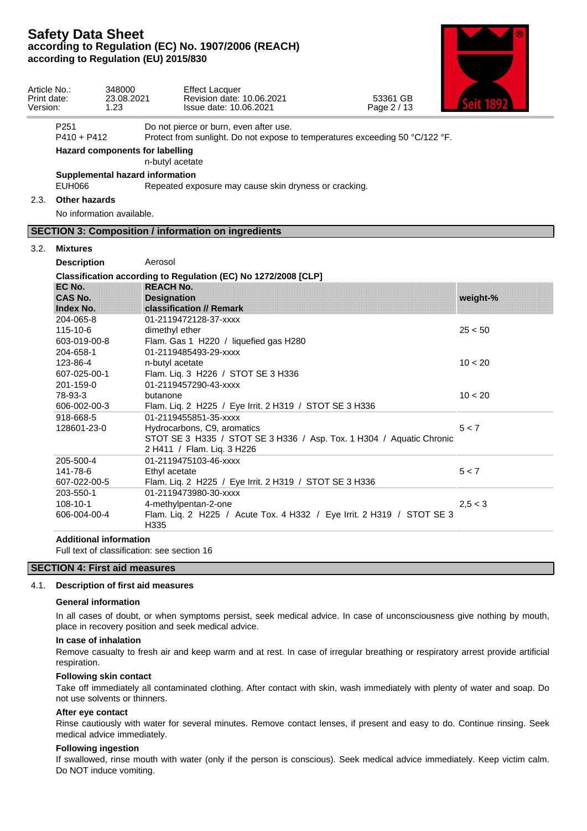

| Article No.:<br>Print date:<br>Version: |                                   | 348000<br>23.08.2021<br>1.23    | <b>Effect Lacquer</b><br>Revision date: 10.06.2021<br>Issue date: 10.06.2021                                                      | 53361 GB<br>Page 2 / 13 |          |  |
|-----------------------------------------|-----------------------------------|---------------------------------|-----------------------------------------------------------------------------------------------------------------------------------|-------------------------|----------|--|
|                                         | P <sub>251</sub><br>$P410 + P412$ |                                 | Do not pierce or burn, even after use.<br>Protect from sunlight. Do not expose to temperatures exceeding 50 °C/122 °F.            |                         |          |  |
|                                         |                                   | Hazard components for labelling | n-butyl acetate                                                                                                                   |                         |          |  |
|                                         | <b>EUH066</b>                     | Supplemental hazard information | Repeated exposure may cause skin dryness or cracking.                                                                             |                         |          |  |
|                                         | 2.3. Other hazards                |                                 |                                                                                                                                   |                         |          |  |
|                                         |                                   | No information available.       |                                                                                                                                   |                         |          |  |
|                                         |                                   |                                 | <b>SECTION 3: Composition / information on ingredients</b>                                                                        |                         |          |  |
| 3.2.                                    | Mixtures                          |                                 |                                                                                                                                   |                         |          |  |
|                                         | <b>Description</b>                | Aerosol                         |                                                                                                                                   |                         |          |  |
|                                         |                                   |                                 | Classification according to Regulation (EC) No 1272/2008 [CLP]                                                                    |                         |          |  |
|                                         | EC No.                            |                                 | <b>REACH No.</b>                                                                                                                  |                         |          |  |
|                                         | CAS No.                           |                                 | <b>Designation</b>                                                                                                                |                         | weight-% |  |
|                                         | Index No.                         |                                 | classification // Remark                                                                                                          |                         |          |  |
|                                         | 204-065-8                         |                                 | 01-2119472128-37-xxxx                                                                                                             |                         |          |  |
|                                         | 115-10-6                          |                                 | dimethyl ether                                                                                                                    |                         | 25 < 50  |  |
|                                         | 603-019-00-8                      |                                 | Flam. Gas 1 H220 / liquefied gas H280                                                                                             |                         |          |  |
|                                         | 204-658-1                         |                                 | 01-2119485493-29-xxxx                                                                                                             |                         |          |  |
|                                         | 123-86-4                          |                                 | n-butyl acetate                                                                                                                   |                         | 10 < 20  |  |
|                                         | 607-025-00-1                      |                                 | Flam. Liq. 3 H226 / STOT SE 3 H336                                                                                                |                         |          |  |
|                                         | 201-159-0                         |                                 | 01-2119457290-43-xxxx                                                                                                             |                         |          |  |
|                                         | 78-93-3                           | butanone                        |                                                                                                                                   |                         | 10 < 20  |  |
|                                         | 606-002-00-3                      |                                 | Flam. Liq. 2 H225 / Eye Irrit. 2 H319 / STOT SE 3 H336                                                                            |                         |          |  |
|                                         | 918-668-5                         |                                 | 01-2119455851-35-xxxx                                                                                                             |                         |          |  |
|                                         | 128601-23-0                       |                                 | Hydrocarbons, C9, aromatics<br>STOT SE 3 H335 / STOT SE 3 H336 / Asp. Tox. 1 H304 / Aquatic Chronic<br>2 H411 / Flam. Liq. 3 H226 |                         | 5 < 7    |  |
|                                         | 205-500-4                         |                                 | 01-2119475103-46-xxxx                                                                                                             |                         |          |  |
|                                         | 141-78-6                          |                                 | Ethyl acetate                                                                                                                     |                         | 5 < 7    |  |
|                                         | 607-022-00-5                      |                                 | Flam. Liq. 2 H225 / Eye Irrit. 2 H319 / STOT SE 3 H336                                                                            |                         |          |  |
|                                         | 203-550-1                         |                                 | 01-2119473980-30-xxxx                                                                                                             |                         |          |  |
|                                         | $108 - 10 - 1$                    |                                 | 4-methylpentan-2-one                                                                                                              |                         | 2,5 < 3  |  |
|                                         | 606-004-00-4                      | H335                            | Flam. Liq. 2 H225 / Acute Tox. 4 H332 / Eye Irrit. 2 H319 / STOT SE 3                                                             |                         |          |  |

Full text of classification: see section 16

### **SECTION 4: First aid measures**

#### 4.1. **Description of first aid measures**

#### **General information**

In all cases of doubt, or when symptoms persist, seek medical advice. In case of unconsciousness give nothing by mouth, place in recovery position and seek medical advice.

#### **In case of inhalation**

Remove casualty to fresh air and keep warm and at rest. In case of irregular breathing or respiratory arrest provide artificial respiration.

#### **Following skin contact**

Take off immediately all contaminated clothing. After contact with skin, wash immediately with plenty of water and soap. Do not use solvents or thinners.

#### **After eye contact**

Rinse cautiously with water for several minutes. Remove contact lenses, if present and easy to do. Continue rinsing. Seek medical advice immediately.

#### **Following ingestion**

If swallowed, rinse mouth with water (only if the person is conscious). Seek medical advice immediately. Keep victim calm. Do NOT induce vomiting.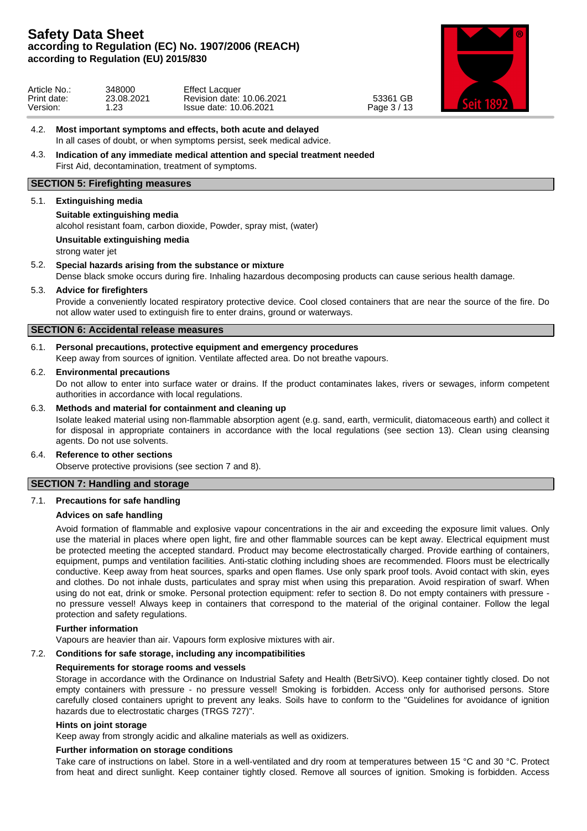

| Article No<br>Print date: | 348000<br>23.08.2021<br>ົດດ | Effect<br>Lacquer<br>10.06.2021<br>Revision date: | GB<br>53361<br>2112 |  |
|---------------------------|-----------------------------|---------------------------------------------------|---------------------|--|
| Version.                  | ں ے.                        | Issue date: 10.06.2021                            | $P$ age,<br>ັບ /    |  |

### 4.2. **Most important symptoms and effects, both acute and delayed** In all cases of doubt, or when symptoms persist, seek medical advice.

### 4.3. **Indication of any immediate medical attention and special treatment needed** First Aid, decontamination, treatment of symptoms.

### **SECTION 5: Firefighting measures**

### 5.1. **Extinguishing media**

### **Suitable extinguishing media**

alcohol resistant foam, carbon dioxide, Powder, spray mist, (water)

**Unsuitable extinguishing media**

strong water jet

### 5.2. **Special hazards arising from the substance or mixture**

Dense black smoke occurs during fire. Inhaling hazardous decomposing products can cause serious health damage.

### 5.3. **Advice for firefighters**

Provide a conveniently located respiratory protective device. Cool closed containers that are near the source of the fire. Do not allow water used to extinguish fire to enter drains, ground or waterways.

### **SECTION 6: Accidental release measures**

### 6.1. **Personal precautions, protective equipment and emergency procedures**

Keep away from sources of ignition. Ventilate affected area. Do not breathe vapours.

#### 6.2. **Environmental precautions**

Do not allow to enter into surface water or drains. If the product contaminates lakes, rivers or sewages, inform competent authorities in accordance with local regulations.

### 6.3. **Methods and material for containment and cleaning up**

Isolate leaked material using non-flammable absorption agent (e.g. sand, earth, vermiculit, diatomaceous earth) and collect it for disposal in appropriate containers in accordance with the local regulations (see section 13). Clean using cleansing agents. Do not use solvents.

#### 6.4. **Reference to other sections**

Observe protective provisions (see section 7 and 8).

### **SECTION 7: Handling and storage**

### 7.1. **Precautions for safe handling**

### **Advices on safe handling**

Avoid formation of flammable and explosive vapour concentrations in the air and exceeding the exposure limit values. Only use the material in places where open light, fire and other flammable sources can be kept away. Electrical equipment must be protected meeting the accepted standard. Product may become electrostatically charged. Provide earthing of containers, equipment, pumps and ventilation facilities. Anti-static clothing including shoes are recommended. Floors must be electrically conductive. Keep away from heat sources, sparks and open flames. Use only spark proof tools. Avoid contact with skin, eyes and clothes. Do not inhale dusts, particulates and spray mist when using this preparation. Avoid respiration of swarf. When using do not eat, drink or smoke. Personal protection equipment: refer to section 8. Do not empty containers with pressure no pressure vessel! Always keep in containers that correspond to the material of the original container. Follow the legal protection and safety regulations.

#### **Further information**

Vapours are heavier than air. Vapours form explosive mixtures with air.

### 7.2. **Conditions for safe storage, including any incompatibilities**

#### **Requirements for storage rooms and vessels**

Storage in accordance with the Ordinance on Industrial Safety and Health (BetrSiVO). Keep container tightly closed. Do not empty containers with pressure - no pressure vessel! Smoking is forbidden. Access only for authorised persons. Store carefully closed containers upright to prevent any leaks. Soils have to conform to the "Guidelines for avoidance of ignition hazards due to electrostatic charges (TRGS 727)".

#### **Hints on joint storage**

Keep away from strongly acidic and alkaline materials as well as oxidizers.

### **Further information on storage conditions**

Take care of instructions on label. Store in a well-ventilated and dry room at temperatures between 15 °C and 30 °C. Protect from heat and direct sunlight. Keep container tightly closed. Remove all sources of ignition. Smoking is forbidden. Access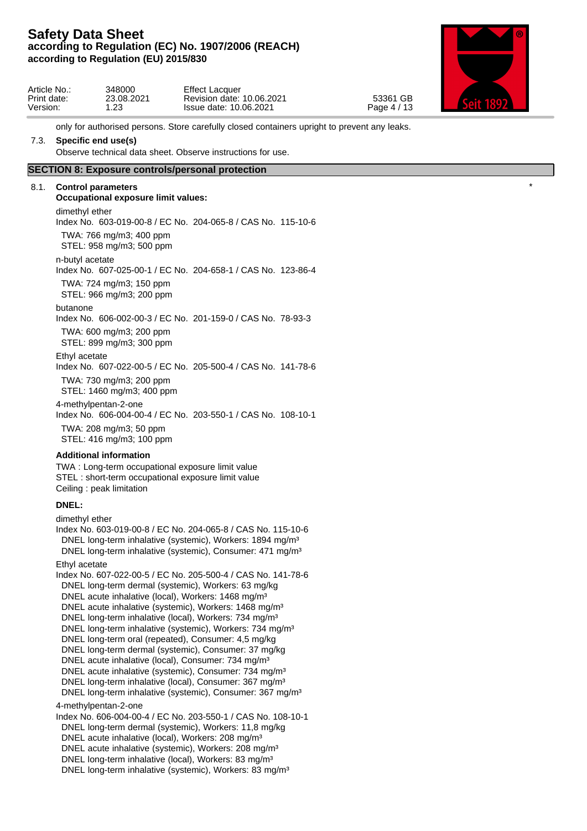

| Article No.:<br>Print date:<br>Version: | 348000<br>23.08.2021<br>$\sim$ | <b>Effect Lacquer</b><br>Revision<br>i date: 10.06.2021<br>Issue date: 10.06.2021 | 53361 GB<br>Page 4 / 13 |  |
|-----------------------------------------|--------------------------------|-----------------------------------------------------------------------------------|-------------------------|--|
|                                         | $\sim$                         |                                                                                   |                         |  |

only for authorised persons. Store carefully closed containers upright to prevent any leaks.

### 7.3. **Specific end use(s)**

Observe technical data sheet. Observe instructions for use.

### **SECTION 8: Exposure controls/personal protection**

### 8.1. **Control parameters**

**Occupational exposure limit values:** \* dimethyl ether Index No. 603-019-00-8 / EC No. 204-065-8 / CAS No. 115-10-6 TWA: 766 mg/m3; 400 ppm STEL: 958 mg/m3; 500 ppm n-butyl acetate Index No. 607-025-00-1 / EC No. 204-658-1 / CAS No. 123-86-4 TWA: 724 mg/m3; 150 ppm STEL: 966 mg/m3; 200 ppm butanone Index No. 606-002-00-3 / EC No. 201-159-0 / CAS No. 78-93-3 TWA: 600 mg/m3; 200 ppm STEL: 899 mg/m3; 300 ppm Ethyl acetate Index No. 607-022-00-5 / EC No. 205-500-4 / CAS No. 141-78-6 TWA: 730 mg/m3; 200 ppm STEL: 1460 mg/m3; 400 ppm 4-methylpentan-2-one Index No. 606-004-00-4 / EC No. 203-550-1 / CAS No. 108-10-1 TWA: 208 mg/m3; 50 ppm STEL: 416 mg/m3; 100 ppm

# **Additional information**

TWA : Long-term occupational exposure limit value STEL : short-term occupational exposure limit value Ceiling : peak limitation

### **DNEL:**

dimethyl ether Index No. 603-019-00-8 / EC No. 204-065-8 / CAS No. 115-10-6 DNEL long-term inhalative (systemic), Workers: 1894 mg/m<sup>3</sup> DNEL long-term inhalative (systemic), Consumer: 471 mg/m<sup>3</sup> Ethyl acetate Index No. 607-022-00-5 / EC No. 205-500-4 / CAS No. 141-78-6 DNEL long-term dermal (systemic), Workers: 63 mg/kg DNEL acute inhalative (local), Workers: 1468 mg/m<sup>3</sup> DNEL acute inhalative (systemic), Workers: 1468 mg/m<sup>3</sup> DNEL long-term inhalative (local), Workers: 734 mg/m<sup>3</sup> DNEL long-term inhalative (systemic), Workers: 734 mg/m<sup>3</sup> DNEL long-term oral (repeated), Consumer: 4,5 mg/kg DNEL long-term dermal (systemic), Consumer: 37 mg/kg DNEL acute inhalative (local), Consumer: 734 mg/m<sup>3</sup> DNEL acute inhalative (systemic), Consumer: 734 mg/m<sup>3</sup> DNEL long-term inhalative (local), Consumer: 367 mg/m<sup>3</sup> DNEL long-term inhalative (systemic), Consumer: 367 mg/m<sup>3</sup> 4-methylpentan-2-one Index No. 606-004-00-4 / EC No. 203-550-1 / CAS No. 108-10-1 DNEL long-term dermal (systemic), Workers: 11,8 mg/kg DNEL acute inhalative (local), Workers: 208 mg/m<sup>3</sup> DNEL acute inhalative (systemic), Workers: 208 mg/m<sup>3</sup>

DNEL long-term inhalative (local), Workers: 83 mg/m<sup>3</sup> DNEL long-term inhalative (systemic), Workers: 83 mg/m<sup>3</sup>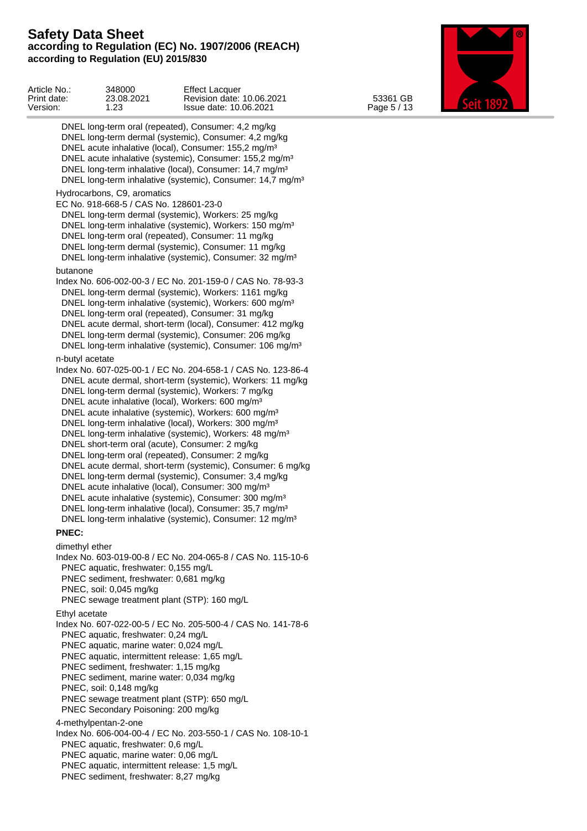Article No.: 348000 Effect Lacquer Print date: 23.08.2021 Revision date: 10.06.2021 53361 GB Catt 1000 Version: 1.23 Issue date: 10.06.2021 Page 5 / 13 DNEL long-term oral (repeated), Consumer: 4,2 mg/kg DNEL long-term dermal (systemic), Consumer: 4,2 mg/kg DNEL acute inhalative (local), Consumer: 155,2 mg/m<sup>3</sup> DNEL acute inhalative (systemic), Consumer: 155,2 mg/m<sup>3</sup> DNEL long-term inhalative (local), Consumer: 14,7 mg/m<sup>3</sup> DNEL long-term inhalative (systemic), Consumer: 14,7 mg/m<sup>3</sup> Hydrocarbons, C9, aromatics EC No. 918-668-5 / CAS No. 128601-23-0 DNEL long-term dermal (systemic), Workers: 25 mg/kg DNEL long-term inhalative (systemic), Workers: 150 mg/m<sup>3</sup> DNEL long-term oral (repeated), Consumer: 11 mg/kg DNEL long-term dermal (systemic), Consumer: 11 mg/kg DNEL long-term inhalative (systemic), Consumer: 32 mg/m<sup>3</sup> butanone Index No. 606-002-00-3 / EC No. 201-159-0 / CAS No. 78-93-3 DNEL long-term dermal (systemic), Workers: 1161 mg/kg DNEL long-term inhalative (systemic), Workers: 600 mg/m<sup>3</sup> DNEL long-term oral (repeated), Consumer: 31 mg/kg DNEL acute dermal, short-term (local), Consumer: 412 mg/kg DNEL long-term dermal (systemic), Consumer: 206 mg/kg DNEL long-term inhalative (systemic), Consumer: 106 mg/m<sup>3</sup> n-butyl acetate Index No. 607-025-00-1 / EC No. 204-658-1 / CAS No. 123-86-4 DNEL acute dermal, short-term (systemic), Workers: 11 mg/kg DNEL long-term dermal (systemic), Workers: 7 mg/kg DNEL acute inhalative (local), Workers: 600 mg/m³ DNEL acute inhalative (systemic), Workers: 600 mg/m<sup>3</sup> DNEL long-term inhalative (local), Workers: 300 mg/m<sup>3</sup> DNEL long-term inhalative (systemic), Workers: 48 mg/m<sup>3</sup> DNEL short-term oral (acute), Consumer: 2 mg/kg DNEL long-term oral (repeated), Consumer: 2 mg/kg DNEL acute dermal, short-term (systemic), Consumer: 6 mg/kg DNEL long-term dermal (systemic), Consumer: 3,4 mg/kg DNEL acute inhalative (local), Consumer: 300 mg/m<sup>3</sup> DNEL acute inhalative (systemic), Consumer: 300 mg/m<sup>3</sup> DNEL long-term inhalative (local), Consumer: 35,7 mg/m<sup>3</sup> DNEL long-term inhalative (systemic), Consumer: 12 mg/m<sup>3</sup> **PNEC:** dimethyl ether Index No. 603-019-00-8 / EC No. 204-065-8 / CAS No. 115-10-6 PNEC aquatic, freshwater: 0,155 mg/L PNEC sediment, freshwater: 0,681 mg/kg PNEC, soil: 0,045 mg/kg PNEC sewage treatment plant (STP): 160 mg/L Ethyl acetate Index No. 607-022-00-5 / EC No. 205-500-4 / CAS No. 141-78-6 PNEC aquatic, freshwater: 0,24 mg/L PNEC aquatic, marine water: 0,024 mg/L PNEC aquatic, intermittent release: 1,65 mg/L PNEC sediment, freshwater: 1,15 mg/kg PNEC sediment, marine water: 0,034 mg/kg PNEC, soil: 0,148 mg/kg PNEC sewage treatment plant (STP): 650 mg/L PNEC Secondary Poisoning: 200 mg/kg 4-methylpentan-2-one Index No. 606-004-00-4 / EC No. 203-550-1 / CAS No. 108-10-1 PNEC aquatic, freshwater: 0,6 mg/L PNEC aquatic, marine water: 0,06 mg/L PNEC aquatic, intermittent release: 1,5 mg/L PNEC sediment, freshwater: 8,27 mg/kg

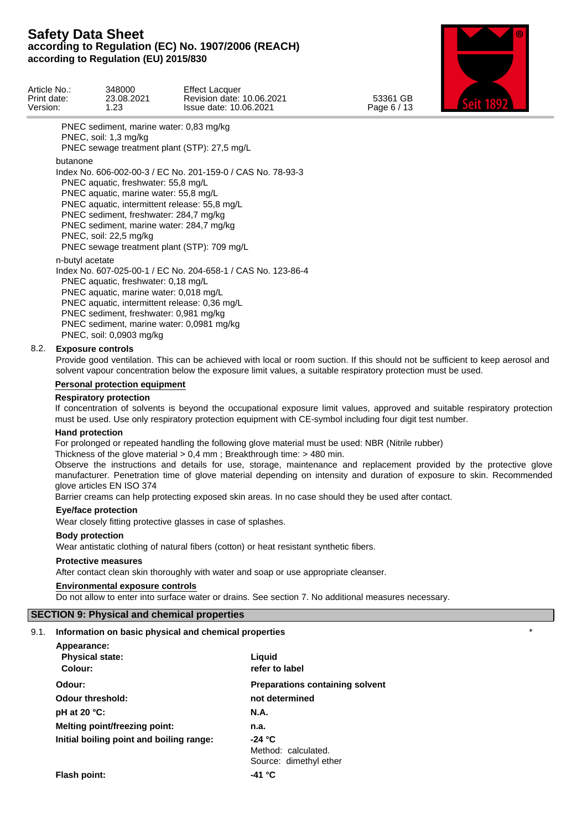

| Article No.:<br>Print date:<br>Version:                                                                                                                                                                                                                                                                                                                                 | 348000<br>23.08.2021<br>1.23                                                                                                                                                                                                                      | <b>Effect Lacquer</b><br>Revision date: 10.06.2021<br>Issue date: 10.06.2021                                              | 53361 GB<br>Page 6 / 13 |  |
|-------------------------------------------------------------------------------------------------------------------------------------------------------------------------------------------------------------------------------------------------------------------------------------------------------------------------------------------------------------------------|---------------------------------------------------------------------------------------------------------------------------------------------------------------------------------------------------------------------------------------------------|---------------------------------------------------------------------------------------------------------------------------|-------------------------|--|
|                                                                                                                                                                                                                                                                                                                                                                         | PNEC sediment, marine water: 0,83 mg/kg<br>PNEC, soil: 1,3 mg/kg                                                                                                                                                                                  | PNEC sewage treatment plant (STP): 27,5 mg/L                                                                              |                         |  |
| butanone<br>Index No. 606-002-00-3 / EC No. 201-159-0 / CAS No. 78-93-3<br>PNEC aquatic, freshwater: 55,8 mg/L<br>PNEC aquatic, marine water: 55,8 mg/L<br>PNEC aquatic, intermittent release: 55,8 mg/L<br>PNEC sediment, freshwater: 284,7 mg/kg<br>PNEC sediment, marine water: 284,7 mg/kg<br>PNEC, soil: 22,5 mg/kg<br>PNEC sewage treatment plant (STP): 709 mg/L |                                                                                                                                                                                                                                                   |                                                                                                                           |                         |  |
| n-butyl acetate                                                                                                                                                                                                                                                                                                                                                         | PNEC aquatic, freshwater: 0,18 mg/L<br>PNEC aquatic, marine water: 0,018 mg/L<br>PNEC aquatic, intermittent release: 0,36 mg/L<br>PNEC sediment, freshwater: 0,981 mg/kg<br>PNEC sediment, marine water: 0,0981 mg/kg<br>PNEC, soil: 0,0903 mg/kg | Index No. 607-025-00-1 / EC No. 204-658-1 / CAS No. 123-86-4                                                              |                         |  |
| 8.2.                                                                                                                                                                                                                                                                                                                                                                    | <b>Exposure controls</b>                                                                                                                                                                                                                          | Deside esal vastlatas. This san ha sahiswad with lasel ar responsive. If this shauld not ha sufficient to kean saraal and |                         |  |

Provide good ventilation. This can be achieved with local or room suction. If this should not be sufficient to keep aerosol and solvent vapour concentration below the exposure limit values, a suitable respiratory protection must be used.

#### **Personal protection equipment**

#### **Respiratory protection**

If concentration of solvents is beyond the occupational exposure limit values, approved and suitable respiratory protection must be used. Use only respiratory protection equipment with CE-symbol including four digit test number.

#### **Hand protection**

For prolonged or repeated handling the following glove material must be used: NBR (Nitrile rubber)

Thickness of the glove material > 0,4 mm ; Breakthrough time: > 480 min.

Observe the instructions and details for use, storage, maintenance and replacement provided by the protective glove manufacturer. Penetration time of glove material depending on intensity and duration of exposure to skin. Recommended glove articles EN ISO 374

Barrier creams can help protecting exposed skin areas. In no case should they be used after contact.

#### **Eye/face protection**

Wear closely fitting protective glasses in case of splashes.

#### **Body protection**

Wear antistatic clothing of natural fibers (cotton) or heat resistant synthetic fibers.

#### **Protective measures**

After contact clean skin thoroughly with water and soap or use appropriate cleanser.

# **Environmental exposure controls**

Do not allow to enter into surface water or drains. See section 7. No additional measures necessary.

### **SECTION 9: Physical and chemical properties**

#### 9.1. **Information on basic physical and chemical properties** \*

| Appearance:                              |                                        |
|------------------------------------------|----------------------------------------|
| <b>Physical state:</b>                   | Liguid                                 |
| Colour:                                  | refer to label                         |
| Odour:                                   | <b>Preparations containing solvent</b> |
| <b>Odour threshold:</b>                  | not determined                         |
| pH at 20 $°C$ :                          | <b>N.A.</b>                            |
| <b>Melting point/freezing point:</b>     | n.a.                                   |
| Initial boiling point and boiling range: | $-24 °C$                               |
|                                          | Method: calculated.                    |
|                                          | Source: dimethyl ether                 |
| Flash point:                             | -41 °C                                 |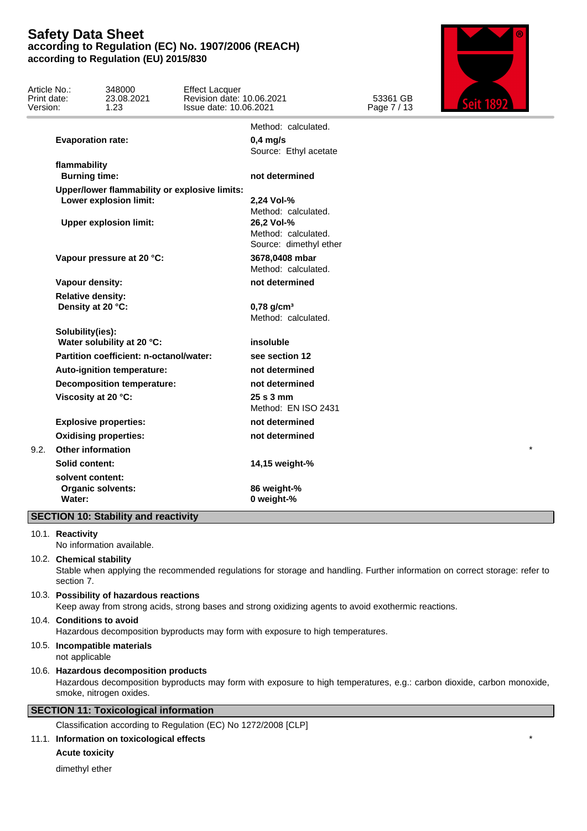| Article No.:<br>Print date:<br>Version: |                                               | 348000<br>23.08.2021<br>1.23                  | <b>Effect Lacquer</b><br>Revision date: 10.06.2021<br>Issue date: 10.06.2021 |                                                             | 53361 GB<br>Page 7 / 13 |         |  |
|-----------------------------------------|-----------------------------------------------|-----------------------------------------------|------------------------------------------------------------------------------|-------------------------------------------------------------|-------------------------|---------|--|
|                                         |                                               |                                               |                                                                              | Method: calculated.                                         |                         |         |  |
|                                         | <b>Evaporation rate:</b>                      |                                               |                                                                              | $0,4$ mg/s<br>Source: Ethyl acetate                         |                         |         |  |
|                                         | flammability<br><b>Burning time:</b>          |                                               |                                                                              | not determined                                              |                         |         |  |
|                                         |                                               | Upper/lower flammability or explosive limits: |                                                                              |                                                             |                         |         |  |
|                                         |                                               | Lower explosion limit:                        |                                                                              | 2,24 Vol-%<br>Method: calculated.                           |                         |         |  |
|                                         |                                               | <b>Upper explosion limit:</b>                 |                                                                              | 26,2 Vol-%<br>Method: calculated.<br>Source: dimethyl ether |                         |         |  |
|                                         |                                               | Vapour pressure at 20 °C:                     |                                                                              | 3678,0408 mbar<br>Method: calculated.                       |                         |         |  |
|                                         | Vapour density:                               |                                               |                                                                              | not determined                                              |                         |         |  |
|                                         | <b>Relative density:</b><br>Density at 20 °C: |                                               |                                                                              | $0,78$ g/cm <sup>3</sup><br>Method: calculated.             |                         |         |  |
|                                         | Solubility(ies):                              | Water solubility at 20 °C:                    |                                                                              | insoluble                                                   |                         |         |  |
|                                         |                                               | Partition coefficient: n-octanol/water:       |                                                                              | see section 12                                              |                         |         |  |
|                                         |                                               | Auto-ignition temperature:                    |                                                                              | not determined                                              |                         |         |  |
|                                         |                                               | <b>Decomposition temperature:</b>             |                                                                              | not determined                                              |                         |         |  |
|                                         | Viscosity at 20 °C:                           |                                               |                                                                              | $25s3$ mm<br>Method: EN ISO 2431                            |                         |         |  |
|                                         |                                               | <b>Explosive properties:</b>                  |                                                                              | not determined                                              |                         |         |  |
|                                         |                                               | <b>Oxidising properties:</b>                  |                                                                              | not determined                                              |                         |         |  |
| 9.2.                                    | <b>Other information</b>                      |                                               |                                                                              |                                                             |                         | $\star$ |  |
|                                         | <b>Solid content:</b>                         |                                               |                                                                              | 14,15 weight-%                                              |                         |         |  |
|                                         | solvent content:                              |                                               |                                                                              |                                                             |                         |         |  |
|                                         |                                               | <b>Organic solvents:</b>                      |                                                                              | 86 weight-%                                                 |                         |         |  |
|                                         | Water:                                        |                                               |                                                                              | 0 weight-%                                                  |                         |         |  |
|                                         |                                               | <b>SECTION 10: Stability and reactivity</b>   |                                                                              |                                                             |                         |         |  |

10.1. **Reactivity**

No information available.

10.2. **Chemical stability**

Stable when applying the recommended regulations for storage and handling. Further information on correct storage: refer to section 7.

10.3. **Possibility of hazardous reactions**

Keep away from strong acids, strong bases and strong oxidizing agents to avoid exothermic reactions.

#### 10.4. **Conditions to avoid** Hazardous decomposition byproducts may form with exposure to high temperatures.

# 10.5. **Incompatible materials**

not applicable

#### 10.6. **Hazardous decomposition products**

Hazardous decomposition byproducts may form with exposure to high temperatures, e.g.: carbon dioxide, carbon monoxide, smoke, nitrogen oxides.

# **SECTION 11: Toxicological information**

Classification according to Regulation (EC) No 1272/2008 [CLP]

# 11.1. **Information on toxicological effects** \*

**Acute toxicity**

dimethyl ether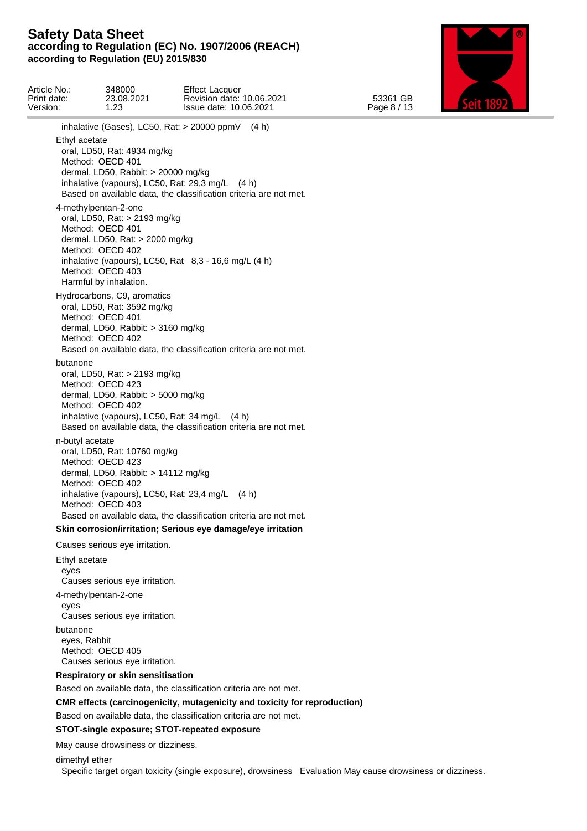

Article No.: 348000 Effect Lacquer Print date: 23.08.2021 Revision date: 10.06.2021 53361 GB Catt 1000 Version: 1.23 Issue date: 10.06.2021 Page 8 / 13 inhalative (Gases), LC50, Rat: > 20000 ppmV (4 h) Ethyl acetate oral, LD50, Rat: 4934 mg/kg Method: OECD 401 dermal, LD50, Rabbit: > 20000 mg/kg inhalative (vapours), LC50, Rat: 29,3 mg/L (4 h) Based on available data, the classification criteria are not met. 4-methylpentan-2-one oral, LD50, Rat: > 2193 mg/kg Method: OECD 401 dermal, LD50, Rat: > 2000 mg/kg Method: OECD 402 inhalative (vapours), LC50, Rat 8,3 - 16,6 mg/L (4 h) Method: OECD 403 Harmful by inhalation. Hydrocarbons, C9, aromatics oral, LD50, Rat: 3592 mg/kg Method: OECD 401 dermal, LD50, Rabbit: > 3160 mg/kg Method: OECD 402 Based on available data, the classification criteria are not met. butanone oral, LD50, Rat: > 2193 mg/kg Method: OECD 423 dermal, LD50, Rabbit: > 5000 mg/kg Method: OECD 402 inhalative (vapours), LC50, Rat: 34 mg/L (4 h) Based on available data, the classification criteria are not met. n-butyl acetate oral, LD50, Rat: 10760 mg/kg Method: OECD 423 dermal, LD50, Rabbit: > 14112 mg/kg Method: OECD 402 inhalative (vapours), LC50, Rat: 23,4 mg/L (4 h) Method: OECD 403 Based on available data, the classification criteria are not met. **Skin corrosion/irritation; Serious eye damage/eye irritation** Causes serious eye irritation. Ethyl acetate eyes Causes serious eye irritation. 4-methylpentan-2-one eyes Causes serious eye irritation. butanone eyes, Rabbit Method: OECD 405 Causes serious eye irritation. **Respiratory or skin sensitisation** Based on available data, the classification criteria are not met. **CMR effects (carcinogenicity, mutagenicity and toxicity for reproduction)** Based on available data, the classification criteria are not met.

# **STOT-single exposure; STOT-repeated exposure**

May cause drowsiness or dizziness.

dimethyl ether

Specific target organ toxicity (single exposure), drowsiness Evaluation May cause drowsiness or dizziness.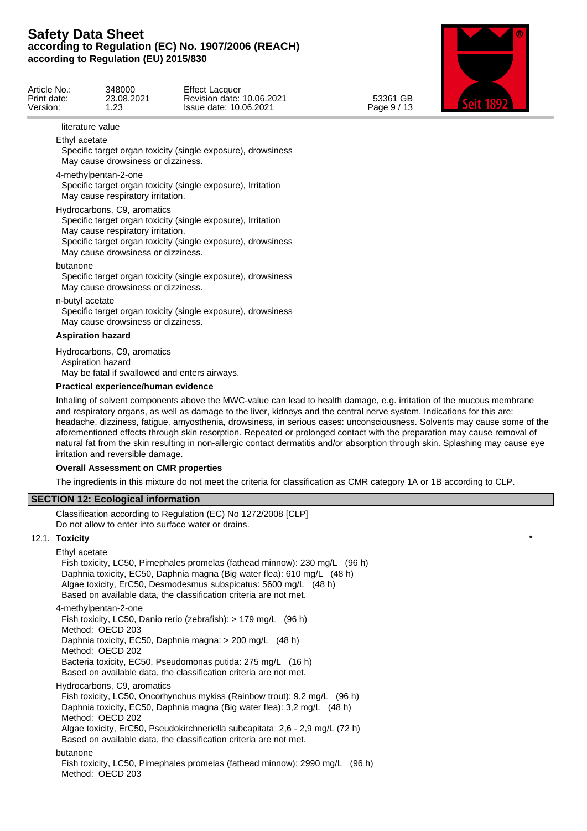

| GB<br>53361<br>Page 9 / 13 | Effect<br>348000<br>Lacquer<br>23.08.2021<br>10.06.2021<br>Revision date:<br>Issue date: 10.06.2021<br>ററ<br>ںے.<br>__ | Article No<br>Print date:<br>Version. |
|----------------------------|------------------------------------------------------------------------------------------------------------------------|---------------------------------------|
|----------------------------|------------------------------------------------------------------------------------------------------------------------|---------------------------------------|

#### literature value

Ethyl acetate

Specific target organ toxicity (single exposure), drowsiness May cause drowsiness or dizziness.

4-methylpentan-2-one

Specific target organ toxicity (single exposure), Irritation May cause respiratory irritation.

Hydrocarbons, C9, aromatics

Specific target organ toxicity (single exposure), Irritation May cause respiratory irritation.

Specific target organ toxicity (single exposure), drowsiness May cause drowsiness or dizziness.

butanone

Specific target organ toxicity (single exposure), drowsiness May cause drowsiness or dizziness.

n-butyl acetate

Specific target organ toxicity (single exposure), drowsiness May cause drowsiness or dizziness.

#### **Aspiration hazard**

Hydrocarbons, C9, aromatics Aspiration hazard May be fatal if swallowed and enters airways.

### **Practical experience/human evidence**

Inhaling of solvent components above the MWC-value can lead to health damage, e.g. irritation of the mucous membrane and respiratory organs, as well as damage to the liver, kidneys and the central nerve system. Indications for this are: headache, dizziness, fatigue, amyosthenia, drowsiness, in serious cases: unconsciousness. Solvents may cause some of the aforementioned effects through skin resorption. Repeated or prolonged contact with the preparation may cause removal of natural fat from the skin resulting in non-allergic contact dermatitis and/or absorption through skin. Splashing may cause eye irritation and reversible damage.

### **Overall Assessment on CMR properties**

The ingredients in this mixture do not meet the criteria for classification as CMR category 1A or 1B according to CLP.

### **SECTION 12: Ecological information**

Classification according to Regulation (EC) No 1272/2008 [CLP] Do not allow to enter into surface water or drains.

### 12.1. **Toxicity** \*

Ethyl acetate

Fish toxicity, LC50, Pimephales promelas (fathead minnow): 230 mg/L (96 h) Daphnia toxicity, EC50, Daphnia magna (Big water flea): 610 mg/L (48 h) Algae toxicity, ErC50, Desmodesmus subspicatus: 5600 mg/L (48 h) Based on available data, the classification criteria are not met. 4-methylpentan-2-one Fish toxicity, LC50, Danio rerio (zebrafish): > 179 mg/L (96 h) Method: OECD 203 Daphnia toxicity, EC50, Daphnia magna: > 200 mg/L (48 h) Method: OECD 202 Bacteria toxicity, EC50, Pseudomonas putida: 275 mg/L (16 h) Based on available data, the classification criteria are not met. Hydrocarbons, C9, aromatics Fish toxicity, LC50, Oncorhynchus mykiss (Rainbow trout): 9,2 mg/L (96 h)

Daphnia toxicity, EC50, Daphnia magna (Big water flea): 3,2 mg/L (48 h) Method: OECD 202

Algae toxicity, ErC50, Pseudokirchneriella subcapitata 2,6 - 2,9 mg/L (72 h) Based on available data, the classification criteria are not met.

#### butanone

Fish toxicity, LC50, Pimephales promelas (fathead minnow): 2990 mg/L (96 h) Method: OECD 203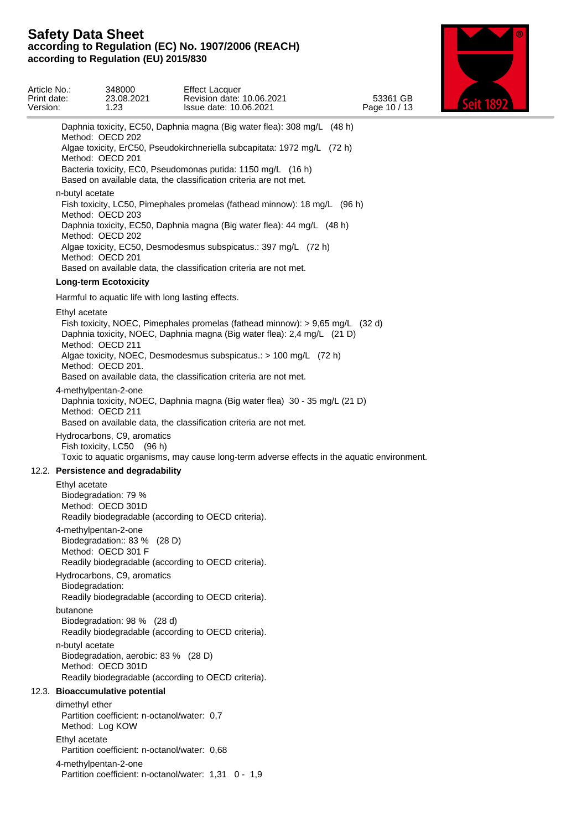

| Article No.:<br>Print date:<br>Version: |                 | 348000<br>23.08.2021<br>1.23                                               | <b>Effect Lacquer</b><br>Revision date: 10.06.2021<br>Issue date: 10.06.2021                                                                                                                                                                                                                       | 53361 GB<br>Page 10 / 13 |  |
|-----------------------------------------|-----------------|----------------------------------------------------------------------------|----------------------------------------------------------------------------------------------------------------------------------------------------------------------------------------------------------------------------------------------------------------------------------------------------|--------------------------|--|
|                                         |                 | Method: OECD 202<br>Method: OECD 201                                       | Daphnia toxicity, EC50, Daphnia magna (Big water flea): 308 mg/L (48 h)<br>Algae toxicity, ErC50, Pseudokirchneriella subcapitata: 1972 mg/L (72 h)<br>Bacteria toxicity, EC0, Pseudomonas putida: 1150 mg/L (16 h)                                                                                |                          |  |
|                                         |                 |                                                                            | Based on available data, the classification criteria are not met.                                                                                                                                                                                                                                  |                          |  |
|                                         | n-butyl acetate | Method: OECD 203<br>Method: OECD 202<br>Method: OECD 201                   | Fish toxicity, LC50, Pimephales promelas (fathead minnow): 18 mg/L (96 h)<br>Daphnia toxicity, EC50, Daphnia magna (Big water flea): 44 mg/L (48 h)<br>Algae toxicity, EC50, Desmodesmus subspicatus.: 397 mg/L (72 h)<br>Based on available data, the classification criteria are not met.        |                          |  |
|                                         |                 | <b>Long-term Ecotoxicity</b>                                               |                                                                                                                                                                                                                                                                                                    |                          |  |
|                                         |                 |                                                                            | Harmful to aquatic life with long lasting effects.                                                                                                                                                                                                                                                 |                          |  |
|                                         | Ethyl acetate   | Method: OECD 211<br>Method: OECD 201.                                      | Fish toxicity, NOEC, Pimephales promelas (fathead minnow): > 9,65 mg/L (32 d)<br>Daphnia toxicity, NOEC, Daphnia magna (Big water flea): 2,4 mg/L (21 D)<br>Algae toxicity, NOEC, Desmodesmus subspicatus.: > 100 mg/L (72 h)<br>Based on available data, the classification criteria are not met. |                          |  |
|                                         |                 | 4-methylpentan-2-one<br>Method: OECD 211                                   | Daphnia toxicity, NOEC, Daphnia magna (Big water flea) 30 - 35 mg/L (21 D)<br>Based on available data, the classification criteria are not met.                                                                                                                                                    |                          |  |
|                                         |                 | Hydrocarbons, C9, aromatics<br>Fish toxicity, LC50 (96 h)                  | Toxic to aquatic organisms, may cause long-term adverse effects in the aquatic environment.                                                                                                                                                                                                        |                          |  |
|                                         |                 | 12.2. Persistence and degradability                                        |                                                                                                                                                                                                                                                                                                    |                          |  |
|                                         | Ethyl acetate   | Biodegradation: 79 %<br>Method: OECD 301D                                  | Readily biodegradable (according to OECD criteria).                                                                                                                                                                                                                                                |                          |  |
|                                         |                 | 4-methylpentan-2-one<br>Biodegradation:: 83 % (28 D)<br>Method: OECD 301 F | Readily biodegradable (according to OECD criteria).                                                                                                                                                                                                                                                |                          |  |
|                                         | Biodegradation: | Hydrocarbons, C9, aromatics                                                | Readily biodegradable (according to OECD criteria).                                                                                                                                                                                                                                                |                          |  |
|                                         | butanone        | Biodegradation: 98 % (28 d)                                                | Readily biodegradable (according to OECD criteria).                                                                                                                                                                                                                                                |                          |  |
|                                         | n-butyl acetate | Biodegradation, aerobic: 83 % (28 D)<br>Method: OECD 301D                  | Readily biodegradable (according to OECD criteria).                                                                                                                                                                                                                                                |                          |  |
|                                         |                 | 12.3. Bioaccumulative potential                                            |                                                                                                                                                                                                                                                                                                    |                          |  |
|                                         | dimethyl ether  | Partition coefficient: n-octanol/water: 0,7<br>Method: Log KOW             |                                                                                                                                                                                                                                                                                                    |                          |  |
|                                         | Ethyl acetate   | Partition coefficient: n-octanol/water: 0.68                               |                                                                                                                                                                                                                                                                                                    |                          |  |
|                                         |                 | 4-methylpentan-2-one                                                       | Partition coefficient: n-octanol/water: 1,31 0 - 1,9                                                                                                                                                                                                                                               |                          |  |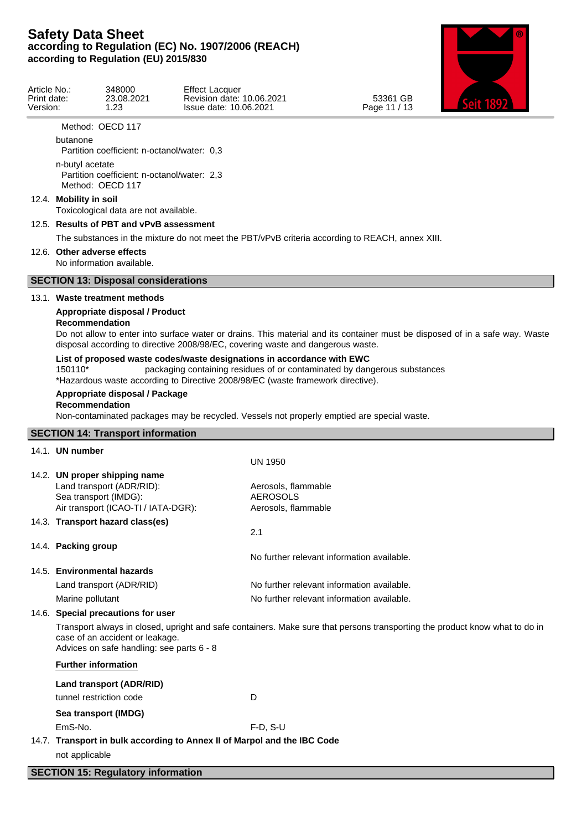

| Article No<br>Print date: | 348000<br>23.08.2021 | <b>Effect Lacquer</b><br>10.06.2021<br>Revision date: | GB<br>53361    |  |
|---------------------------|----------------------|-------------------------------------------------------|----------------|--|
| Version.                  | ററ<br>ں ے .          | Issue date: 10.06.2021                                | Page 11<br>.10 |  |

Method: OECD 117

butanone

Partition coefficient: n-octanol/water: 0,3

n-butyl acetate Partition coefficient: n-octanol/water: 2,3 Method: OECD 117

#### 12.4. **Mobility in soil**

Toxicological data are not available.

### 12.5. **Results of PBT and vPvB assessment**

The substances in the mixture do not meet the PBT/vPvB criteria according to REACH, annex XIII.

### 12.6. **Other adverse effects**

No information available.

### **SECTION 13: Disposal considerations**

#### 13.1. **Waste treatment methods**

## **Appropriate disposal / Product**

### **Recommendation**

Do not allow to enter into surface water or drains. This material and its container must be disposed of in a safe way. Waste disposal according to directive 2008/98/EC, covering waste and dangerous waste.

#### **List of proposed waste codes/waste designations in accordance with EWC**

150110\* packaging containing residues of or contaminated by dangerous substances \*Hazardous waste according to Directive 2008/98/EC (waste framework directive).

#### **Appropriate disposal / Package**

### **Recommendation**

Non-contaminated packages may be recycled. Vessels not properly emptied are special waste.

### **SECTION 14: Transport information**

| 14.1. UN number                                                                                                            |                                                                                                                             |
|----------------------------------------------------------------------------------------------------------------------------|-----------------------------------------------------------------------------------------------------------------------------|
|                                                                                                                            | <b>UN 1950</b>                                                                                                              |
| 14.2. UN proper shipping name<br>Land transport (ADR/RID):<br>Sea transport (IMDG):<br>Air transport (ICAO-TI / IATA-DGR): | Aerosols, flammable<br><b>AEROSOLS</b><br>Aerosols, flammable                                                               |
| 14.3. Transport hazard class(es)                                                                                           |                                                                                                                             |
|                                                                                                                            | 2.1                                                                                                                         |
| 14.4. Packing group                                                                                                        | No further relevant information available.                                                                                  |
| 14.5. Environmental hazards                                                                                                |                                                                                                                             |
| Land transport (ADR/RID)                                                                                                   | No further relevant information available.                                                                                  |
| Marine pollutant                                                                                                           | No further relevant information available.                                                                                  |
| 14.6. Special precautions for user                                                                                         |                                                                                                                             |
| case of an accident or leakage.<br>Advices on safe handling: see parts 6 - 8                                               | Transport always in closed, upright and safe containers. Make sure that persons transporting the product know what to do in |
| <b>Further information</b>                                                                                                 |                                                                                                                             |
| Land transport (ADR/RID)                                                                                                   |                                                                                                                             |
| tunnel restriction code                                                                                                    | D                                                                                                                           |
| Sea transport (IMDG)                                                                                                       |                                                                                                                             |
| EmS-No.                                                                                                                    | $F-D, S-U$                                                                                                                  |
| 14.7. Transport in bulk according to Annex II of Marpol and the IBC Code                                                   |                                                                                                                             |
| not applicable                                                                                                             |                                                                                                                             |
|                                                                                                                            |                                                                                                                             |

#### **SECTION 15: Regulatory information**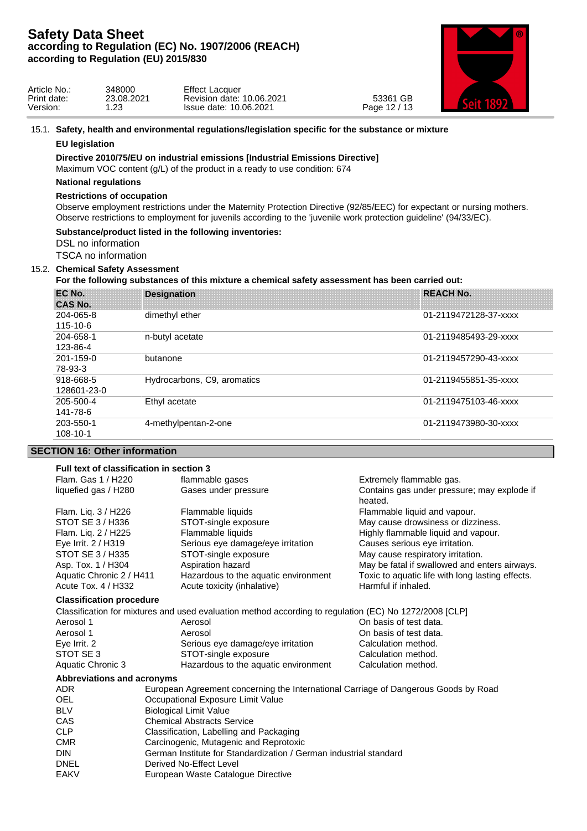

| Article No.: | 348000          | <b>Effect Lacquer</b>            |                             |  |
|--------------|-----------------|----------------------------------|-----------------------------|--|
| Print date:  | 23.08.2021      | 10.06.2021<br>∟date:<br>Revision | GB<br>53361                 |  |
| Version:     | $\sim$<br>ـ د∠. | Issue date: 10.06.2021           | .40140<br>Page<br>L<br>د ۱۰ |  |

#### 15.1. **Safety, health and environmental regulations/legislation specific for the substance or mixture**

#### **EU legislation**

### **Directive 2010/75/EU on industrial emissions [Industrial Emissions Directive]**

Maximum VOC content (g/L) of the product in a ready to use condition: 674

### **National regulations**

#### **Restrictions of occupation**

Observe employment restrictions under the Maternity Protection Directive (92/85/EEC) for expectant or nursing mothers. Observe restrictions to employment for juvenils according to the 'juvenile work protection guideline' (94/33/EC).

### **Substance/product listed in the following inventories:**

DSL no information

TSCA no information

### 15.2. **Chemical Safety Assessment**

### **For the following substances of this mixture a chemical safety assessment has been carried out:**

| EC No.<br><b>CAS No.</b> | <b>Designation</b>          | <b>REACH No.</b>      |  |
|--------------------------|-----------------------------|-----------------------|--|
| 204-065-8<br>115-10-6    | dimethyl ether              | 01-2119472128-37-xxxx |  |
| 204-658-1<br>123-86-4    | n-butyl acetate             | 01-2119485493-29-xxxx |  |
| 201-159-0<br>78-93-3     | butanone                    | 01-2119457290-43-xxxx |  |
| 918-668-5<br>128601-23-0 | Hydrocarbons, C9, aromatics | 01-2119455851-35-xxxx |  |
| 205-500-4<br>141-78-6    | Ethyl acetate               | 01-2119475103-46-xxxx |  |
| 203-550-1<br>108-10-1    | 4-methylpentan-2-one        | 01-2119473980-30-xxxx |  |
|                          |                             |                       |  |

### **SECTION 16: Other information**

| Full text of classification in section 3 |                                                                                                        |                                                  |  |
|------------------------------------------|--------------------------------------------------------------------------------------------------------|--------------------------------------------------|--|
| Flam. Gas 1 / H220                       | flammable gases                                                                                        | Extremely flammable gas.                         |  |
| liquefied gas / H280                     | Gases under pressure                                                                                   | Contains gas under pressure; may explode if      |  |
|                                          |                                                                                                        | heated.                                          |  |
| Flam. Liq. 3 / H226                      | Flammable liquids                                                                                      | Flammable liquid and vapour.                     |  |
| STOT SE 3 / H336                         | STOT-single exposure                                                                                   | May cause drowsiness or dizziness.               |  |
| Flam. Liq. 2 / H225                      | Flammable liquids                                                                                      | Highly flammable liquid and vapour.              |  |
| Eye Irrit. 2 / H319                      | Serious eye damage/eye irritation                                                                      | Causes serious eye irritation.                   |  |
| STOT SE 3 / H335                         | STOT-single exposure                                                                                   | May cause respiratory irritation.                |  |
| Asp. Tox. 1 / H304                       | Aspiration hazard                                                                                      | May be fatal if swallowed and enters airways.    |  |
| Aquatic Chronic 2 / H411                 | Hazardous to the aquatic environment                                                                   | Toxic to aquatic life with long lasting effects. |  |
| Acute Tox. 4 / H332                      | Acute toxicity (inhalative)                                                                            | Harmful if inhaled.                              |  |
| <b>Classification procedure</b>          |                                                                                                        |                                                  |  |
|                                          | Classification for mixtures and used evaluation method according to regulation (EC) No 1272/2008 [CLP] |                                                  |  |
| Aerosol 1                                | Aerosol                                                                                                | On basis of test data.                           |  |
| Aerosol 1                                | Aerosol                                                                                                | On basis of test data.                           |  |
| Eye Irrit. 2                             | Serious eye damage/eye irritation                                                                      | Calculation method.                              |  |
| STOT SE3                                 | STOT-single exposure                                                                                   | Calculation method.                              |  |
| Aquatic Chronic 3                        | Hazardous to the aquatic environment                                                                   | Calculation method.                              |  |
| Abbreviations and acronyms               |                                                                                                        |                                                  |  |
| ADR.                                     | European Agreement concerning the International Carriage of Dangerous Goods by Road                    |                                                  |  |
| <b>OEL</b>                               | Occupational Exposure Limit Value                                                                      |                                                  |  |
| <b>BLV</b>                               | <b>Biological Limit Value</b>                                                                          |                                                  |  |
| CAS                                      | <b>Chemical Abstracts Service</b>                                                                      |                                                  |  |
| CLP                                      | Classification, Labelling and Packaging                                                                |                                                  |  |
| <b>CMR</b>                               | Carcinogenic, Mutagenic and Reprotoxic                                                                 |                                                  |  |
| <b>DIN</b>                               | German Institute for Standardization / German industrial standard                                      |                                                  |  |

- DNEL Derived No-Effect Level
- EAKV **European Waste Catalogue Directive**